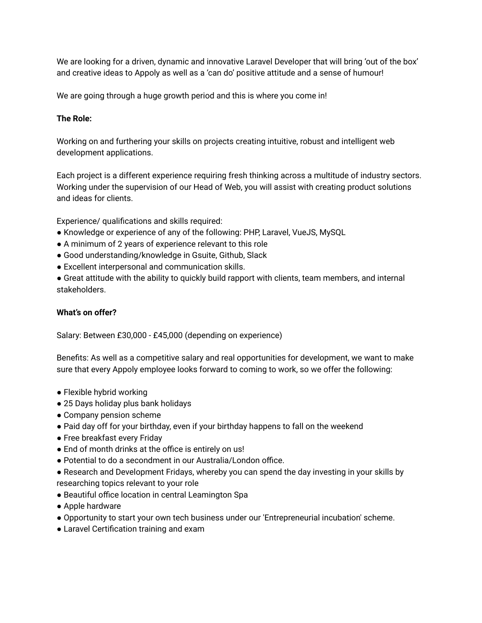We are looking for a driven, dynamic and innovative Laravel Developer that will bring 'out of the box' and creative ideas to Appoly as well as a 'can do' positive attitude and a sense of humour!

We are going through a huge growth period and this is where you come in!

## **The Role:**

Working on and furthering your skills on projects creating intuitive, robust and intelligent web development applications.

Each project is a different experience requiring fresh thinking across a multitude of industry sectors. Working under the supervision of our Head of Web, you will assist with creating product solutions and ideas for clients.

Experience/ qualifications and skills required:

- Knowledge or experience of any of the following: PHP, Laravel, VueJS, MySQL
- A minimum of 2 years of experience relevant to this role
- Good understanding/knowledge in Gsuite, Github, Slack
- Excellent interpersonal and communication skills.

● Great attitude with the ability to quickly build rapport with clients, team members, and internal stakeholders.

## **What's on offer?**

Salary: Between £30,000 - £45,000 (depending on experience)

Benefits: As well as a competitive salary and real opportunities for development, we want to make sure that every Appoly employee looks forward to coming to work, so we offer the following:

- Flexible hybrid working
- 25 Days holiday plus bank holidays
- Company pension scheme
- Paid day off for your birthday, even if your birthday happens to fall on the weekend
- Free breakfast every Friday
- End of month drinks at the office is entirely on us!
- Potential to do a secondment in our Australia/London office.
- Research and Development Fridays, whereby you can spend the day investing in your skills by researching topics relevant to your role
- Beautiful office location in central Leamington Spa
- Apple hardware
- Opportunity to start your own tech business under our 'Entrepreneurial incubation' scheme.
- Laravel Certification training and exam